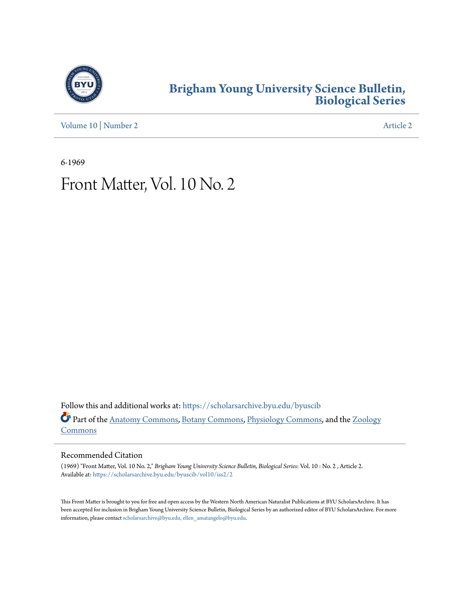

### **[Brigham Young University Science Bulletin,](https://scholarsarchive.byu.edu/byuscib?utm_source=scholarsarchive.byu.edu%2Fbyuscib%2Fvol10%2Fiss2%2F2&utm_medium=PDF&utm_campaign=PDFCoverPages) [Biological Series](https://scholarsarchive.byu.edu/byuscib?utm_source=scholarsarchive.byu.edu%2Fbyuscib%2Fvol10%2Fiss2%2F2&utm_medium=PDF&utm_campaign=PDFCoverPages)**

[Volume 10](https://scholarsarchive.byu.edu/byuscib/vol10?utm_source=scholarsarchive.byu.edu%2Fbyuscib%2Fvol10%2Fiss2%2F2&utm_medium=PDF&utm_campaign=PDFCoverPages) | [Number 2](https://scholarsarchive.byu.edu/byuscib/vol10/iss2?utm_source=scholarsarchive.byu.edu%2Fbyuscib%2Fvol10%2Fiss2%2F2&utm_medium=PDF&utm_campaign=PDFCoverPages) [Article 2](https://scholarsarchive.byu.edu/byuscib/vol10/iss2/2?utm_source=scholarsarchive.byu.edu%2Fbyuscib%2Fvol10%2Fiss2%2F2&utm_medium=PDF&utm_campaign=PDFCoverPages)

6-1969

# Front Matter, Vol. 10 No. 2

Follow this and additional works at: [https://scholarsarchive.byu.edu/byuscib](https://scholarsarchive.byu.edu/byuscib?utm_source=scholarsarchive.byu.edu%2Fbyuscib%2Fvol10%2Fiss2%2F2&utm_medium=PDF&utm_campaign=PDFCoverPages) Part of the [Anatomy Commons](http://network.bepress.com/hgg/discipline/903?utm_source=scholarsarchive.byu.edu%2Fbyuscib%2Fvol10%2Fiss2%2F2&utm_medium=PDF&utm_campaign=PDFCoverPages), [Botany Commons](http://network.bepress.com/hgg/discipline/104?utm_source=scholarsarchive.byu.edu%2Fbyuscib%2Fvol10%2Fiss2%2F2&utm_medium=PDF&utm_campaign=PDFCoverPages), [Physiology Commons,](http://network.bepress.com/hgg/discipline/69?utm_source=scholarsarchive.byu.edu%2Fbyuscib%2Fvol10%2Fiss2%2F2&utm_medium=PDF&utm_campaign=PDFCoverPages) and the [Zoology](http://network.bepress.com/hgg/discipline/81?utm_source=scholarsarchive.byu.edu%2Fbyuscib%2Fvol10%2Fiss2%2F2&utm_medium=PDF&utm_campaign=PDFCoverPages) [Commons](http://network.bepress.com/hgg/discipline/81?utm_source=scholarsarchive.byu.edu%2Fbyuscib%2Fvol10%2Fiss2%2F2&utm_medium=PDF&utm_campaign=PDFCoverPages)

#### Recommended Citation

(1969) "Front Matter, Vol. 10 No. 2," *Brigham Young University Science Bulletin, Biological Series*: Vol. 10 : No. 2 , Article 2. Available at: [https://scholarsarchive.byu.edu/byuscib/vol10/iss2/2](https://scholarsarchive.byu.edu/byuscib/vol10/iss2/2?utm_source=scholarsarchive.byu.edu%2Fbyuscib%2Fvol10%2Fiss2%2F2&utm_medium=PDF&utm_campaign=PDFCoverPages)

This Front Matter is brought to you for free and open access by the Western North American Naturalist Publications at BYU ScholarsArchive. It has been accepted for inclusion in Brigham Young University Science Bulletin, Biological Series by an authorized editor of BYU ScholarsArchive. For more information, please contact [scholarsarchive@byu.edu, ellen\\_amatangelo@byu.edu](mailto:scholarsarchive@byu.edu,%20ellen_amatangelo@byu.edu).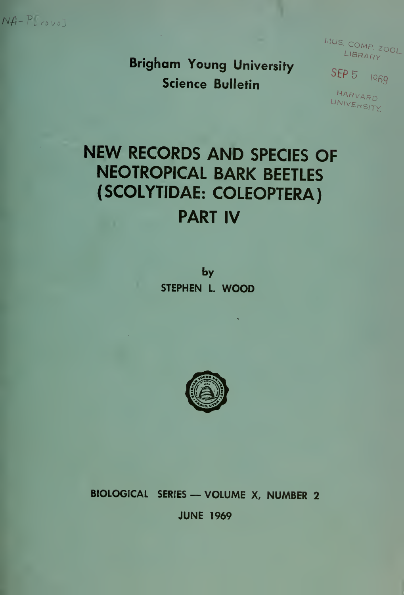$NA-P_{rraval}$ 

Brigham Young University SEP 5 1969 Science Bulletin  $H_{\text{ARVARD}}$ 

UNIVERSITY.

# NEW RECORDS AND SPECIES OF NEOTROPICAL BARK BEETLES (SCOLYTIDAE: COLEOPTERA) PART IV

by STEPHEN L. WOOD



## BIOLOGICAL SERIES — VOLUME X, NUMBER <sup>2</sup> JUNE 1969